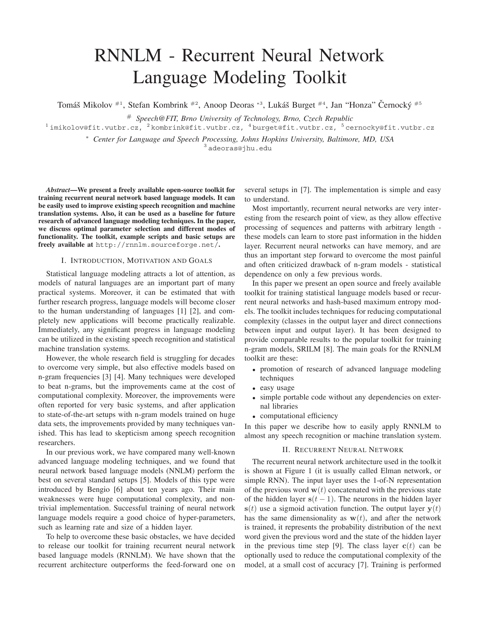# RNNLM - Recurrent Neural Network Language Modeling Toolkit

Tomáš Mikolov <sup>#1</sup>, Stefan Kombrink <sup>#2</sup>, Anoop Deoras <sup>∗3</sup>, Lukáš Burget <sup>#4</sup>, Jan "Honza" Černocký <sup>#5</sup>

# *Speech@FIT, Brno University of Technology, Brno, Czech Republic*

 $1$ imikolov@fit.vutbr.cz,  $2$ kombrink@fit.vutbr.cz,  $4$ burget@fit.vutbr.cz,  $5$ cernocky@fit.vutbr.cz

<sup>∗</sup> *Center for Language and Speech Processing, Johns Hopkins University, Baltimore, MD, USA*

<sup>3</sup> adeoras@jhu.edu

*Abstract***—We present a freely available open-source toolkit for training recurrent neural network based language models. It can be easily used to improve existing speech recognition and machine translation systems. Also, it can be used as a baseline for future research of advanced language modeling techniques. In the paper, we discuss optimal parameter selection and different modes of functionality. The toolkit, example scripts and basic setups are freely available at** http://rnnlm.sourceforge.net/**.**

# I. INTRODUCTION, MOTIVATION AND GOALS

Statistical language modeling attracts a lot of attention, as models of natural languages are an important part of many practical systems. Moreover, it can be estimated that with further research progress, language models will become closer to the human understanding of languages [1] [2], and completely new applications will become practically realizable. Immediately, any significant progress in language modeling can be utilized in the existing speech recognition and statistical machine translation systems.

However, the whole research field is struggling for decades to overcome very simple, but also effective models based on n-gram frequencies [3] [4]. Many techniques were developed to beat n-grams, but the improvements came at the cost of computational complexity. Moreover, the improvements were often reported for very basic systems, and after application to state-of-the-art setups with n-gram models trained on huge data sets, the improvements provided by many techniques vanished. This has lead to skepticism among speech recognition researchers.

In our previous work, we have compared many well-known advanced language modeling techniques, and we found that neural network based language models (NNLM) perform the best on several standard setups [5]. Models of this type were introduced by Bengio [6] about ten years ago. Their main weaknesses were huge computational complexity, and nontrivial implementation. Successful training of neural network language models require a good choice of hyper-parameters, such as learning rate and size of a hidden layer.

To help to overcome these basic obstacles, we have decided to release our toolkit for training recurrent neural network based language models (RNNLM). We have shown that the recurrent architecture outperforms the feed-forward one on

several setups in [7]. The implementation is simple and easy to understand.

Most importantly, recurrent neural networks are very interesting from the research point of view, as they allow effective processing of sequences and patterns with arbitrary length these models can learn to store past information in the hidden layer. Recurrent neural networks can have memory, and are thus an important step forward to overcome the most painful and often criticized drawback of n-gram models - statistical dependence on only a few previous words.

In this paper we present an open source and freely available toolkit for training statistical language models based or recurrent neural networks and hash-based maximum entropy models. The toolkit includes techniques for reducing computational complexity (classes in the output layer and direct connections between input and output layer). It has been designed to provide comparable results to the popular toolkit for training n-gram models, SRILM [8]. The main goals for the RNNLM toolkit are these:

- promotion of research of advanced language modeling techniques
- easy usage
- simple portable code without any dependencies on external libraries
- computational efficiency

In this paper we describe how to easily apply RNNLM to almost any speech recognition or machine translation system.

### II. RECURRENT NEURAL NETWORK

The recurrent neural network architecture used in the toolkit is shown at Figure 1 (it is usually called Elman network, or simple RNN). The input layer uses the 1-of-N representation of the previous word  $w(t)$  concatenated with the previous state of the hidden layer  $s(t - 1)$ . The neurons in the hidden layer  $s(t)$  use a sigmoid activation function. The output layer  $y(t)$ has the same dimensionality as  $w(t)$ , and after the network is trained, it represents the probability distribution of the next word given the previous word and the state of the hidden layer in the previous time step [9]. The class layer  $c(t)$  can be optionally used to reduce the computational complexity of the model, at a small cost of accuracy [7]. Training is performed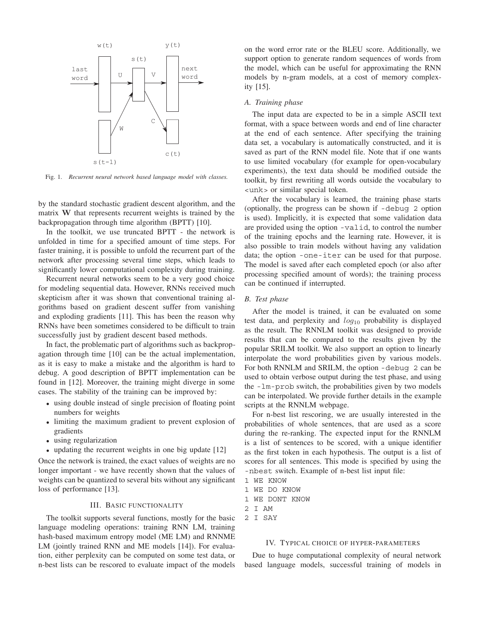

Fig. 1. *Recurrent neural network based language model with classes.*

by the standard stochastic gradient descent algorithm, and the matrix **W** that represents recurrent weights is trained by the backpropagation through time algorithm (BPTT) [10].

In the toolkit, we use truncated BPTT - the network is unfolded in time for a specified amount of time steps. For faster training, it is possible to unfold the recurrent part of the network after processing several time steps, which leads to significantly lower computational complexity during training.

Recurrent neural networks seem to be a very good choice for modeling sequential data. However, RNNs received much skepticism after it was shown that conventional training algorithms based on gradient descent suffer from vanishing and exploding gradients [11]. This has been the reason why RNNs have been sometimes considered to be difficult to train successfully just by gradient descent based methods.

In fact, the problematic part of algorithms such as backpropagation through time [10] can be the actual implementation, as it is easy to make a mistake and the algorithm is hard to debug. A good description of BPTT implementation can be found in [12]. Moreover, the training might diverge in some cases. The stability of the training can be improved by:

- using double instead of single precision of floating point numbers for weights
- limiting the maximum gradient to prevent explosion of gradients
- using regularization
- updating the recurrent weights in one big update [12]

Once the network is trained, the exact values of weights are no longer important - we have recently shown that the values of weights can be quantized to several bits without any significant loss of performance [13].

# III. BASIC FUNCTIONALITY

The toolkit supports several functions, mostly for the basic language modeling operations: training RNN LM, training hash-based maximum entropy model (ME LM) and RNNME LM (jointly trained RNN and ME models [14]). For evaluation, either perplexity can be computed on some test data, or n-best lists can be rescored to evaluate impact of the models on the word error rate or the BLEU score. Additionally, we support option to generate random sequences of words from the model, which can be useful for approximating the RNN models by n-gram models, at a cost of memory complexity [15].

## *A. Training phase*

The input data are expected to be in a simple ASCII text format, with a space between words and end of line character at the end of each sentence. After specifying the training data set, a vocabulary is automatically constructed, and it is saved as part of the RNN model file. Note that if one wants to use limited vocabulary (for example for open-vocabulary experiments), the text data should be modified outside the toolkit, by first rewriting all words outside the vocabulary to <unk> or similar special token.

After the vocabulary is learned, the training phase starts (optionally, the progress can be shown if -debug 2 option is used). Implicitly, it is expected that some validation data are provided using the option -valid, to control the number of the training epochs and the learning rate. However, it is also possible to train models without having any validation data; the option -one-iter can be used for that purpose. The model is saved after each completed epoch (or also after processing specified amount of words); the training process can be continued if interrupted.

## *B. Test phase*

After the model is trained, it can be evaluated on some test data, and perplexity and  $log_{10}$  probability is displayed as the result. The RNNLM toolkit was designed to provide results that can be compared to the results given by the popular SRILM toolkit. We also support an option to linearly interpolate the word probabilities given by various models. For both RNNLM and SRILM, the option -debug 2 can be used to obtain verbose output during the test phase, and using the -lm-prob switch, the probabilities given by two models can be interpolated. We provide further details in the example scripts at the RNNLM webpage.

For n-best list rescoring, we are usually interested in the probabilities of whole sentences, that are used as a score during the re-ranking. The expected input for the RNNLM is a list of sentences to be scored, with a unique identifier as the first token in each hypothesis. The output is a list of scores for all sentences. This mode is specified by using the -nbest switch. Example of n-best list input file:

- 1 WE KNOW
- 1 WE DO KNOW
- 1 WE DONT KNOW
- 2 I AM
- 2 I SAY

#### IV. TYPICAL CHOICE OF HYPER-PARAMETERS

Due to huge computational complexity of neural network based language models, successful training of models in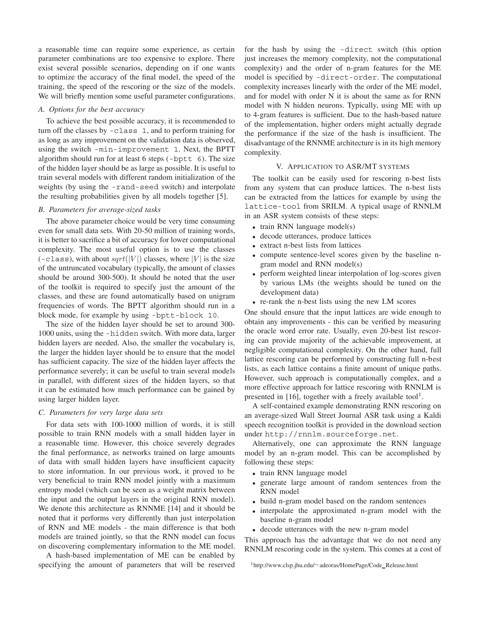a reasonable time can require some experience, as certain parameter combinations are too expensive to explore. There exist several possible scenarios, depending on if one wants to optimize the accuracy of the final model, the speed of the training, the speed of the rescoring or the size of the models. We will briefly mention some useful parameter configurations.

# *A. Options for the best accuracy*

To achieve the best possible accuracy, it is recommended to turn off the classes by -class 1, and to perform training for as long as any improvement on the validation data is observed, using the switch -min-improvement 1. Next, the BPTT algorithm should run for at least 6 steps (-bptt 6). The size of the hidden layer should be as large as possible. It is useful to train several models with different random initialization of the weights (by using the -rand-seed switch) and interpolate the resulting probabilities given by all models together [5].

#### *B. Parameters for average-sized tasks*

The above parameter choice would be very time consuming even for small data sets. With 20-50 million of training words, it is better to sacrifice a bit of accuracy for lower computational complexity. The most useful option is to use the classes  $(-\text{class})$ , with about sqrt(|V|) classes, where |V| is the size of the untruncated vocabulary (typically, the amount of classes should be around 300-500). It should be noted that the user of the toolkit is required to specify just the amount of the classes, and these are found automatically based on unigram frequencies of words. The BPTT algorithm should run in a block mode, for example by using -bptt-block 10.

The size of the hidden layer should be set to around 300- 1000 units, using the -hidden switch. With more data, larger hidden layers are needed. Also, the smaller the vocabulary is, the larger the hidden layer should be to ensure that the model has sufficient capacity. The size of the hidden layer affects the performance severely; it can be useful to train several models in parallel, with different sizes of the hidden layers, so that it can be estimated how much performance can be gained by using larger hidden layer.

## *C. Parameters for very large data sets*

For data sets with 100-1000 million of words, it is still possible to train RNN models with a small hidden layer in a reasonable time. However, this choice severely degrades the final performance, as networks trained on large amounts of data with small hidden layers have insufficient capacity to store information. In our previous work, it proved to be very beneficial to train RNN model jointly with a maximum entropy model (which can be seen as a weight matrix between the input and the output layers in the original RNN model). We denote this architecture as RNNME [14] and it should be noted that it performs very differently than just interpolation of RNN and ME models - the main difference is that both models are trained jointly, so that the RNN model can focus on discovering complementary information to the ME model.

A hash-based implementation of ME can be enabled by specifying the amount of parameters that will be reserved for the hash by using the -direct switch (this option just increases the memory complexity, not the computational complexity) and the order of n-gram features for the ME model is specified by -direct-order. The computational complexity increases linearly with the order of the ME model, and for model with order N it is about the same as for RNN model with N hidden neurons. Typically, using ME with up to 4-gram features is sufficient. Due to the hash-based nature of the implementation, higher orders might actually degrade the performance if the size of the hash is insufficient. The disadvantage of the RNNME architecture is in its high memory complexity.

## V. APPLICATION TO ASR/MT SYSTEMS

The toolkit can be easily used for rescoring n-best lists from any system that can produce lattices. The n-best lists can be extracted from the lattices for example by using the lattice-tool from SRILM. A typical usage of RNNLM in an ASR system consists of these steps:

- train RNN language model(s)
- decode utterances, produce lattices
- extract n-best lists from lattices
- compute sentence-level scores given by the baseline ngram model and RNN model(s)
- perform weighted linear interpolation of log-scores given by various LMs (the weights should be tuned on the development data)
- re-rank the n-best lists using the new LM scores

One should ensure that the input lattices are wide enough to obtain any improvements - this can be verified by measuring the oracle word error rate. Usually, even 20-best list rescoring can provide majority of the achievable improvement, at negligible computational complexity. On the other hand, full lattice rescoring can be performed by constructing full n-best lists, as each lattice contains a finite amount of unique paths. However, such approach is computationally complex, and a more effective approach for lattice rescoring with RNNLM is presented in [16], together with a freely available tool<sup>1</sup>.

A self-contained example demonstrating RNN rescoring on an average-sized Wall Street Journal ASR task using a Kaldi speech recognition toolkit is provided in the download section under http://rnnlm.sourceforge.net.

Alternatively, one can approximate the RNN language model by an n-gram model. This can be accomplished by following these steps:

- train RNN language model
- generate large amount of random sentences from the RNN model
- build n-gram model based on the random sentences
- interpolate the approximated n-gram model with the baseline n-gram model
- decode utterances with the new n-gram model

This approach has the advantage that we do not need any RNNLM rescoring code in the system. This comes at a cost of